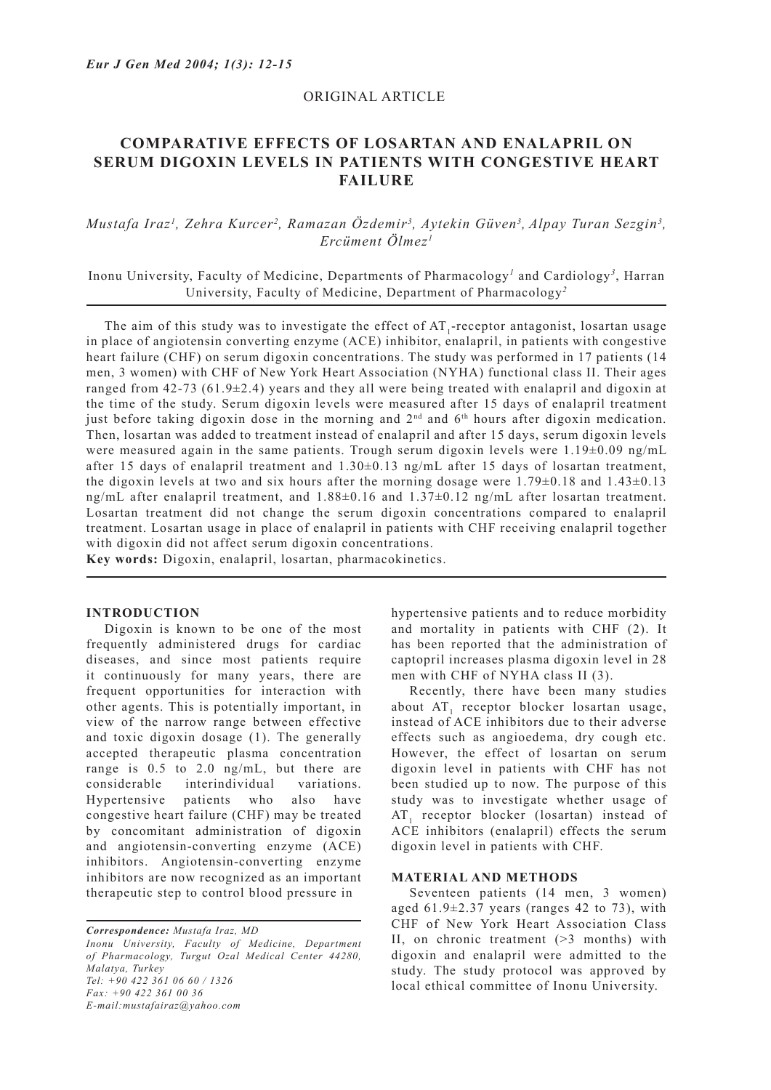# ORIGINAL ARTICLE

# **COMPARATIVE EFFECTS OF LOSARTAN AND ENALAPRIL ON SERUM DIGOXIN LEVELS IN PATIENTS WITH CONGESTIVE HEART FAILURE**

# *Mustafa Iraz1 , Zehra Kurcer2 , Ramazan Özdemir3 , Aytekin Güven3 , Alpay Turan Sezgin3 , Ercüment Ölmez1*

# Inonu University, Faculty of Medicine, Departments of Pharmacology<sup>1</sup> and Cardiology<sup>3</sup>, Harran University, Faculty of Medicine, Department of Pharmacology*<sup>2</sup>*

The aim of this study was to investigate the effect of  $AT_1$ -receptor antagonist, losartan usage in place of angiotensin converting enzyme (ACE) inhibitor, enalapril, in patients with congestive heart failure (CHF) on serum digoxin concentrations. The study was performed in 17 patients (14 men, 3 women) with CHF of New York Heart Association (NYHA) functional class II. Their ages ranged from  $42-73$  (61.9 $\pm$ 2.4) years and they all were being treated with enalapril and digoxin at the time of the study. Serum digoxin levels were measured after 15 days of enalapril treatment just before taking digoxin dose in the morning and 2nd and 6th hours after digoxin medication. Then, losartan was added to treatment instead of enalapril and after 15 days, serum digoxin levels were measured again in the same patients. Trough serum digoxin levels were  $1.19\pm0.09$  ng/mL after 15 days of enalapril treatment and 1.30±0.13 ng/mL after 15 days of losartan treatment, the digoxin levels at two and six hours after the morning dosage were  $1.79\pm0.18$  and  $1.43\pm0.13$ ng/mL after enalapril treatment, and 1.88±0.16 and 1.37±0.12 ng/mL after losartan treatment. Losartan treatment did not change the serum digoxin concentrations compared to enalapril treatment. Losartan usage in place of enalapril in patients with CHF receiving enalapril together with digoxin did not affect serum digoxin concentrations.

**Key words:** Digoxin, enalapril, losartan, pharmacokinetics.

#### **INTRODUCTION**

Digoxin is known to be one of the most frequently administered drugs for cardiac diseases, and since most patients require it continuously for many years, there are frequent opportunities for interaction with other agents. This is potentially important, in view of the narrow range between effective and toxic digoxin dosage (1). The generally accepted therapeutic plasma concentration range is 0.5 to 2.0 ng/mL, but there are considerable interindividual variations. Hypertensive patients who also have congestive heart failure (CHF) may be treated by concomitant administration of digoxin and angiotensin-converting enzyme (ACE) inhibitors. Angiotensin-converting enzyme inhibitors are now recognized as an important therapeutic step to control blood pressure in

*Correspondence: Mustafa Iraz, MD Inonu University, Faculty of Medicine, Department of Pharmacology, Turgut Ozal Medical Center 44280, Malatya, Turkey Tel: +90 422 361 06 60 / 1326 Fax: +90 422 361 00 36 E-mail:mustafairaz@yahoo.com*

hypertensive patients and to reduce morbidity and mortality in patients with CHF (2). It has been reported that the administration of captopril increases plasma digoxin level in 28 men with CHF of NYHA class II (3).

Recently, there have been many studies about  $AT_1$  receptor blocker losartan usage, instead of ACE inhibitors due to their adverse effects such as angioedema, dry cough etc. However, the effect of losartan on serum digoxin level in patients with CHF has not been studied up to now. The purpose of this study was to investigate whether usage of  $AT_1$  receptor blocker (losartan) instead of ACE inhibitors (enalapril) effects the serum digoxin level in patients with CHF.

# **MATERIAL AND METHODS**

Seventeen patients (14 men, 3 women) aged  $61.9\pm2.37$  years (ranges 42 to 73), with CHF of New York Heart Association Class II, on chronic treatment (>3 months) with digoxin and enalapril were admitted to the study. The study protocol was approved by local ethical committee of Inonu University.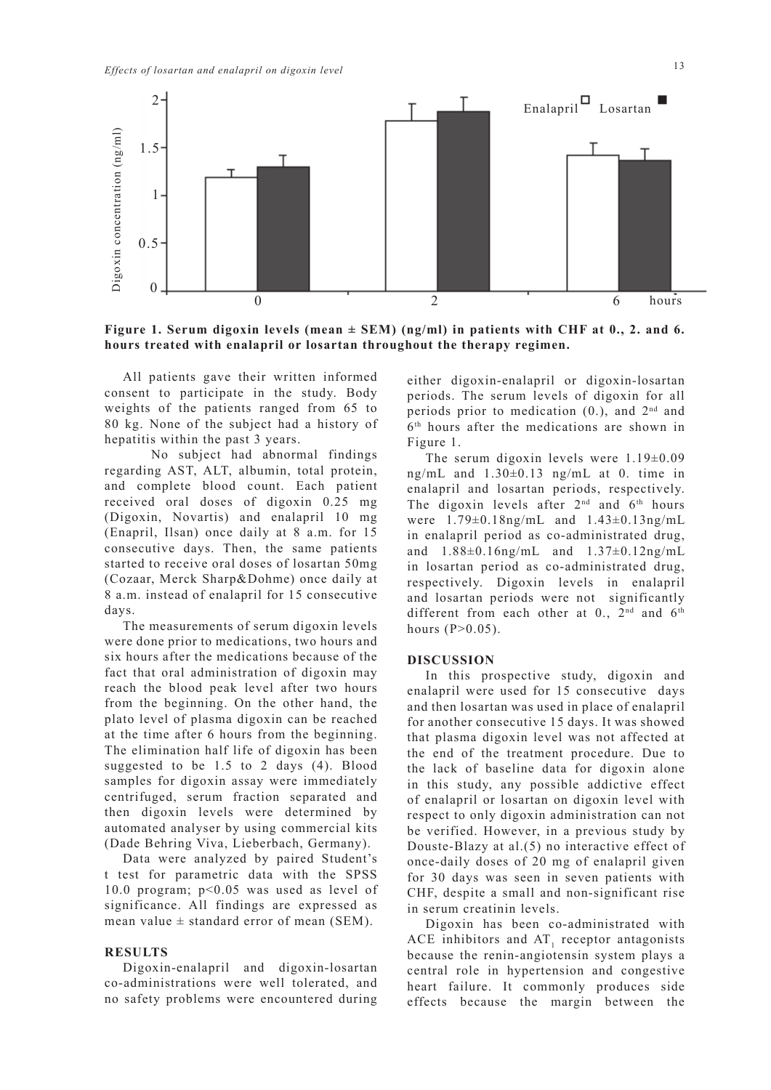

**Figure 1. Serum digoxin levels (mean ± SEM) (ng/ml) in patients with CHF at 0., 2. and 6. hours treated with enalapril or losartan throughout the therapy regimen.**

All patients gave their written informed consent to participate in the study. Body weights of the patients ranged from 65 to 80 kg. None of the subject had a history of hepatitis within the past 3 years.

 No subject had abnormal findings regarding AST, ALT, albumin, total protein, and complete blood count. Each patient received oral doses of digoxin 0.25 mg (Digoxin, Novartis) and enalapril 10 mg (Enapril, Ilsan) once daily at 8 a.m. for 15 consecutive days. Then, the same patients started to receive oral doses of losartan 50mg (Cozaar, Merck Sharp&Dohme) once daily at 8 a.m. instead of enalapril for 15 consecutive days.

The measurements of serum digoxin levels were done prior to medications, two hours and six hours after the medications because of the fact that oral administration of digoxin may reach the blood peak level after two hours from the beginning. On the other hand, the plato level of plasma digoxin can be reached at the time after 6 hours from the beginning. The elimination half life of digoxin has been suggested to be 1.5 to 2 days (4). Blood samples for digoxin assay were immediately centrifuged, serum fraction separated and then digoxin levels were determined by automated analyser by using commercial kits (Dade Behring Viva, Lieberbach, Germany).

Data were analyzed by paired Student's t test for parametric data with the SPSS 10.0 program; p<0.05 was used as level of significance. All findings are expressed as mean value  $\pm$  standard error of mean (SEM).

#### **RESULTS**

Digoxin-enalapril and digoxin-losartan co-administrations were well tolerated, and no safety problems were encountered during

either digoxin-enalapril or digoxin-losartan periods. The serum levels of digoxin for all periods prior to medication  $(0)$ , and  $2<sup>nd</sup>$  and 6th hours after the medications are shown in Figure 1.

The serum digoxin levels were  $1.19\pm0.09$ ng/mL and 1.30±0.13 ng/mL at 0. time in enalapril and losartan periods, respectively. The digoxin levels after  $2<sup>nd</sup>$  and  $6<sup>th</sup>$  hours were 1.79±0.18ng/mL and 1.43±0.13ng/mL in enalapril period as co-administrated drug, and 1.88±0.16ng/mL and 1.37±0.12ng/mL in losartan period as co-administrated drug, respectively. Digoxin levels in enalapril and losartan periods were not significantly different from each other at  $0.$ ,  $2<sup>nd</sup>$  and  $6<sup>th</sup>$ hours  $(P>0.05)$ .

#### **DISCUSSION**

In this prospective study, digoxin and enalapril were used for 15 consecutive days and then losartan was used in place of enalapril for another consecutive 15 days. It was showed that plasma digoxin level was not affected at the end of the treatment procedure. Due to the lack of baseline data for digoxin alone in this study, any possible addictive effect of enalapril or losartan on digoxin level with respect to only digoxin administration can not be verified. However, in a previous study by Douste-Blazy at al.(5) no interactive effect of once-daily doses of 20 mg of enalapril given for 30 days was seen in seven patients with CHF, despite a small and non-significant rise in serum creatinin levels.

Digoxin has been co-administrated with ACE inhibitors and  $AT_1$  receptor antagonists because the renin-angiotensin system plays a central role in hypertension and congestive heart failure. It commonly produces side effects because the margin between the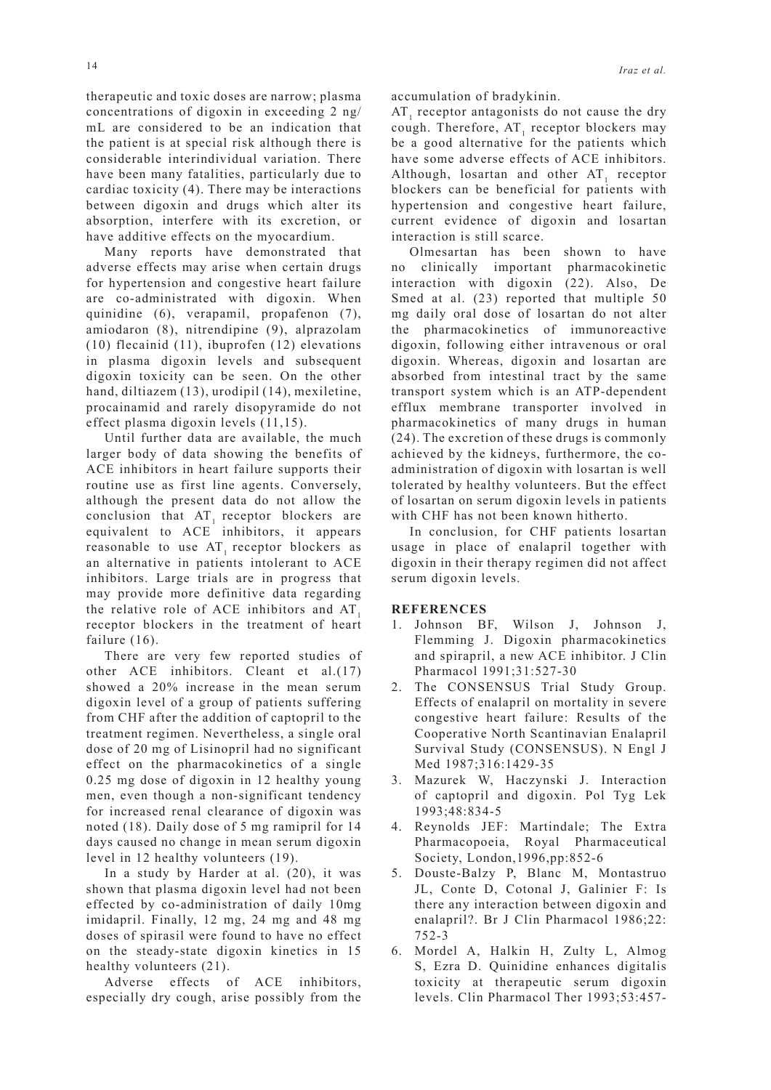therapeutic and toxic doses are narrow; plasma concentrations of digoxin in exceeding 2 ng/ mL are considered to be an indication that the patient is at special risk although there is considerable interindividual variation. There have been many fatalities, particularly due to cardiac toxicity (4). There may be interactions between digoxin and drugs which alter its absorption, interfere with its excretion, or have additive effects on the myocardium.

Many reports have demonstrated that adverse effects may arise when certain drugs for hypertension and congestive heart failure are co-administrated with digoxin. When quinidine (6), verapamil, propafenon (7), amiodaron (8), nitrendipine (9), alprazolam (10) flecainid (11), ibuprofen (12) elevations in plasma digoxin levels and subsequent digoxin toxicity can be seen. On the other hand, diltiazem (13), urodipil (14), mexiletine, procainamid and rarely disopyramide do not effect plasma digoxin levels (11,15).

Until further data are available, the much larger body of data showing the benefits of ACE inhibitors in heart failure supports their routine use as first line agents. Conversely, although the present data do not allow the conclusion that  $AT_1$  receptor blockers are equivalent to ACE inhibitors, it appears reasonable to use  $AT$ , receptor blockers as an alternative in patients intolerant to ACE inhibitors. Large trials are in progress that may provide more definitive data regarding the relative role of ACE inhibitors and AT. receptor blockers in the treatment of heart failure  $(16)$ .

There are very few reported studies of other ACE inhibitors. Cleant et al.(17) showed a 20% increase in the mean serum digoxin level of a group of patients suffering from CHF after the addition of captopril to the treatment regimen. Nevertheless, a single oral dose of 20 mg of Lisinopril had no significant effect on the pharmacokinetics of a single 0.25 mg dose of digoxin in 12 healthy young men, even though a non-significant tendency for increased renal clearance of digoxin was noted (18). Daily dose of 5 mg ramipril for 14 days caused no change in mean serum digoxin level in 12 healthy volunteers (19).

In a study by Harder at al. (20), it was shown that plasma digoxin level had not been effected by co-administration of daily 10mg imidapril. Finally, 12 mg, 24 mg and 48 mg doses of spirasil were found to have no effect on the steady-state digoxin kinetics in 15 healthy volunteers (21).

Adverse effects of ACE inhibitors, especially dry cough, arise possibly from the accumulation of bradykinin.

 $AT_1$  receptor antagonists do not cause the dry cough. Therefore,  $AT_1$  receptor blockers may be a good alternative for the patients which have some adverse effects of ACE inhibitors. Although, losartan and other  $AT_1$  receptor blockers can be beneficial for patients with hypertension and congestive heart failure, current evidence of digoxin and losartan interaction is still scarce.

Olmesartan has been shown to have no clinically important pharmacokinetic interaction with digoxin (22). Also, De Smed at al. (23) reported that multiple 50 mg daily oral dose of losartan do not alter the pharmacokinetics of immunoreactive digoxin, following either intravenous or oral digoxin. Whereas, digoxin and losartan are absorbed from intestinal tract by the same transport system which is an ATP-dependent efflux membrane transporter involved in pharmacokinetics of many drugs in human (24). The excretion of these drugs is commonly achieved by the kidneys, furthermore, the coadministration of digoxin with losartan is well tolerated by healthy volunteers. But the effect of losartan on serum digoxin levels in patients with CHF has not been known hitherto.

In conclusion, for CHF patients losartan usage in place of enalapril together with digoxin in their therapy regimen did not affect serum digoxin levels.

#### **REFERENCES**

- 1. Johnson BF, Wilson J, Johnson J, Flemming J. Digoxin pharmacokinetics and spirapril, a new ACE inhibitor. J Clin Pharmacol 1991;31:527-30
- 2. The CONSENSUS Trial Study Group. Effects of enalapril on mortality in severe congestive heart failure: Results of the Cooperative North Scantinavian Enalapril Survival Study (CONSENSUS). N Engl J Med 1987;316:1429-35
- 3. Mazurek W, Haczynski J. Interaction of captopril and digoxin. Pol Tyg Lek 1993;48:834-5
- 4. Reynolds JEF: Martindale; The Extra Pharmacopoeia, Royal Pharmaceutical Society, London,1996,pp:852-6
- 5. Douste-Balzy P, Blanc M, Montastruo JL, Conte D, Cotonal J, Galinier F: Is there any interaction between digoxin and enalapril?. Br J Clin Pharmacol 1986;22: 752-3
- 6. Mordel A, Halkin H, Zulty L, Almog S, Ezra D. Quinidine enhances digitalis toxicity at therapeutic serum digoxin levels. Clin Pharmacol Ther 1993;53:457-